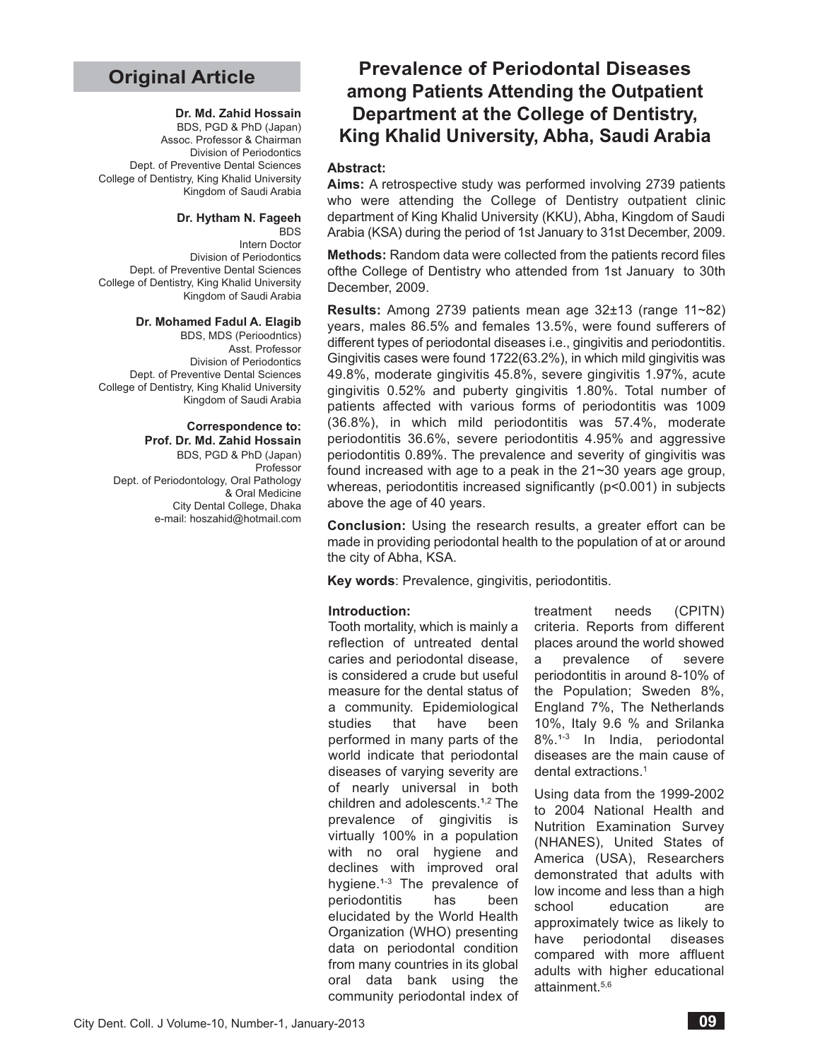# **Original Article**

#### **Dr. Md. Zahid Hossain**

BDS, PGD & PhD (Japan) Assoc. Professor & Chairman Division of Periodontics Dept. of Preventive Dental Sciences College of Dentistry, King Khalid University Kingdom of Saudi Arabia

#### **Dr. Hytham N. Fageeh**

**BDS** Intern Doctor Division of Periodontics Dept. of Preventive Dental Sciences College of Dentistry, King Khalid University Kingdom of Saudi Arabia

#### **Dr. Mohamed Fadul A. Elagib**

BDS, MDS (Perioodntics) Asst. Professor Division of Periodontics Dept. of Preventive Dental Sciences College of Dentistry, King Khalid University Kingdom of Saudi Arabia

### **Correspondence to:**

**Prof. Dr. Md. Zahid Hossain** BDS, PGD & PhD (Japan) Professor Dept. of Periodontology, Oral Pathology & Oral Medicine City Dental College, Dhaka e-mail: hoszahid@hotmail.com

# **Prevalence of Periodontal Diseases among Patients Attending the Outpatient Department at the College of Dentistry, King Khalid University, Abha, Saudi Arabia**

## **Abstract:**

**Aims:** A retrospective study was performed involving 2739 patients who were attending the College of Dentistry outpatient clinic department of King Khalid University (KKU), Abha, Kingdom of Saudi Arabia (KSA) during the period of 1st January to 31st December, 2009.

**Methods:** Random data were collected from the patients record files ofthe College of Dentistry who attended from 1st January to 30th December, 2009.

**Results:** Among 2739 patients mean age 32±13 (range 11~82) years, males 86.5% and females 13.5%, were found sufferers of different types of periodontal diseases i.e., gingivitis and periodontitis. Gingivitis cases were found 1722(63.2%), in which mild gingivitis was 49.8%, moderate gingivitis 45.8%, severe gingivitis 1.97%, acute gingivitis 0.52% and puberty gingivitis 1.80%. Total number of patients affected with various forms of periodontitis was 1009 (36.8%), in which mild periodontitis was 57.4%, moderate periodontitis 36.6%, severe periodontitis 4.95% and aggressive periodontitis 0.89%. The prevalence and severity of gingivitis was found increased with age to a peak in the 21~30 years age group, whereas, periodontitis increased significantly ( $p$ <0.001) in subjects above the age of 40 years.

**Conclusion:** Using the research results, a greater effort can be made in providing periodontal health to the population of at or around the city of Abha, KSA.

**Key words**: Prevalence, gingivitis, periodontitis.

#### **Introduction:**

Tooth mortality, which is mainly a reflection of untreated dental caries and periodontal disease, is considered a crude but useful measure for the dental status of a community. Epidemiological studies that have been performed in many parts of the world indicate that periodontal diseases of varying severity are of nearly universal in both children and adolescents.<sup>1,2</sup> The prevalence of gingivitis is virtually 100% in a population with no oral hygiene and declines with improved oral hygiene.<sup>1-3</sup> The prevalence of periodontitis has been elucidated by the World Health Organization (WHO) presenting data on periodontal condition from many countries in its global oral data bank using the community periodontal index of

treatment needs (CPITN) criteria. Reports from different places around the world showed a prevalence of severe periodontitis in around 8-10% of the Population; Sweden 8%, England 7%, The Netherlands 10%, Italy 9.6 % and Srilanka 8%.<sup>1-3</sup> In India, periodontal diseases are the main cause of dental extractions.1

Using data from the 1999-2002 to 2004 National Health and Nutrition Examination Survey (NHANES), United States of America (USA), Researchers demonstrated that adults with low income and less than a high school education are approximately twice as likely to have periodontal diseases compared with more affluent adults with higher educational attainment.5,6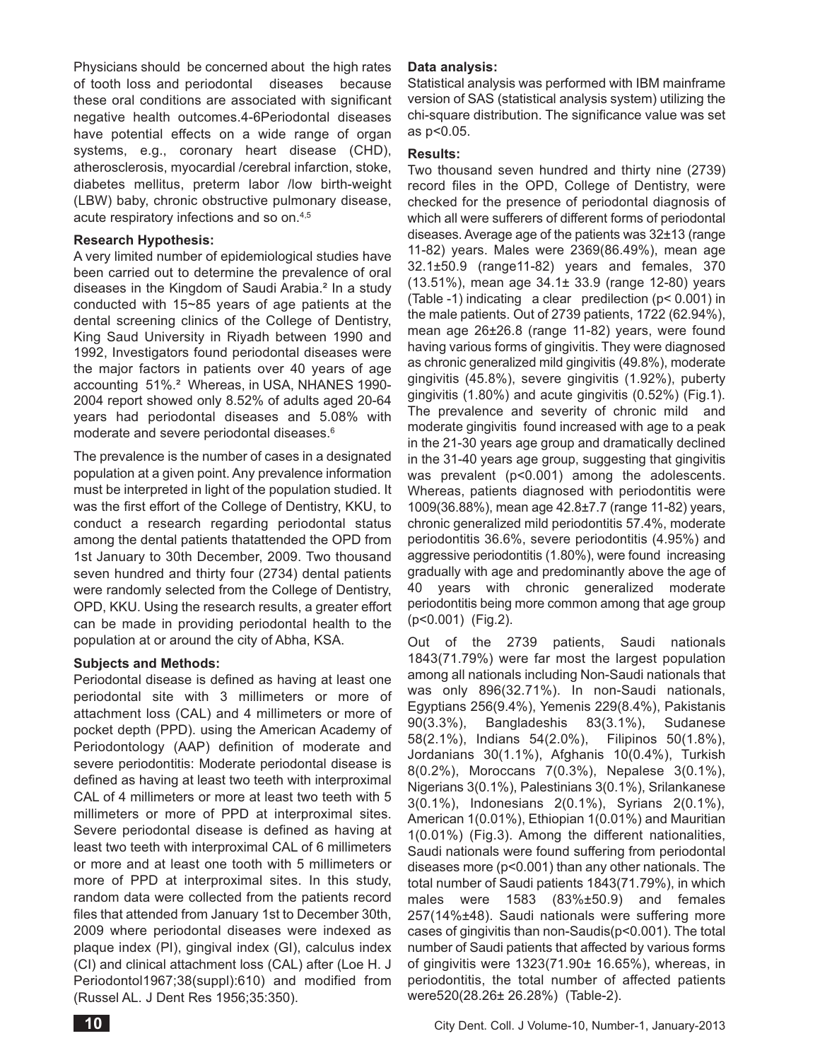Physicians should be concerned about the high rates of tooth loss and periodontal diseases because these oral conditions are associated with significant negative health outcomes.4-6Periodontal diseases have potential effects on a wide range of organ systems, e.g., coronary heart disease (CHD), atherosclerosis, myocardial /cerebral infarction, stoke, diabetes mellitus, preterm labor /low birth-weight (LBW) baby, chronic obstructive pulmonary disease, acute respiratory infections and so on.4,5

## **Research Hypothesis:**

A very limited number of epidemiological studies have been carried out to determine the prevalence of oral diseases in the Kingdom of Saudi Arabia.² In a study conducted with 15~85 years of age patients at the dental screening clinics of the College of Dentistry, King Saud University in Riyadh between 1990 and 1992, Investigators found periodontal diseases were the major factors in patients over 40 years of age accounting 51%.² Whereas, in USA, NHANES 1990- 2004 report showed only 8.52% of adults aged 20-64 years had periodontal diseases and 5.08% with moderate and severe periodontal diseases.6

The prevalence is the number of cases in a designated population at a given point. Any prevalence information must be interpreted in light of the population studied. It was the first effort of the College of Dentistry, KKU, to conduct a research regarding periodontal status among the dental patients thatattended the OPD from 1st January to 30th December, 2009. Two thousand seven hundred and thirty four (2734) dental patients were randomly selected from the College of Dentistry, OPD, KKU. Using the research results, a greater effort can be made in providing periodontal health to the population at or around the city of Abha, KSA.

# **Subjects and Methods:**

Periodontal disease is defined as having at least one periodontal site with 3 millimeters or more of attachment loss (CAL) and 4 millimeters or more of pocket depth (PPD). using the American Academy of Periodontology (AAP) definition of moderate and severe periodontitis: Moderate periodontal disease is defined as having at least two teeth with interproximal CAL of 4 millimeters or more at least two teeth with 5 millimeters or more of PPD at interproximal sites. Severe periodontal disease is defined as having at least two teeth with interproximal CAL of 6 millimeters or more and at least one tooth with 5 millimeters or more of PPD at interproximal sites. In this study, random data were collected from the patients record files that attended from January 1st to December 30th, 2009 where periodontal diseases were indexed as plaque index (PI), gingival index (GI), calculus index (CI) and clinical attachment loss (CAL) after (Loe H. J Periodontol1967;38(suppl):610) and modified from (Russel AL. J Dent Res 1956;35:350).

## **Data analysis:**

Statistical analysis was performed with IBM mainframe version of SAS (statistical analysis system) utilizing the chi-square distribution. The significance value was set as p<0.05.

## **Results:**

Two thousand seven hundred and thirty nine (2739) record files in the OPD, College of Dentistry, were checked for the presence of periodontal diagnosis of which all were sufferers of different forms of periodontal diseases. Average age of the patients was 32±13 (range 11-82) years. Males were 2369(86.49%), mean age 32.1±50.9 (range11-82) years and females, 370 (13.51%), mean age 34.1± 33.9 (range 12-80) years (Table -1) indicating a clear predilection (p< 0.001) in the male patients. Out of 2739 patients, 1722 (62.94%), mean age 26±26.8 (range 11-82) years, were found having various forms of gingivitis. They were diagnosed as chronic generalized mild gingivitis (49.8%), moderate gingivitis (45.8%), severe gingivitis (1.92%), puberty gingivitis (1.80%) and acute gingivitis (0.52%) (Fig.1). The prevalence and severity of chronic mild and moderate gingivitis found increased with age to a peak in the 21-30 years age group and dramatically declined in the 31-40 years age group, suggesting that gingivitis was prevalent (p<0.001) among the adolescents. Whereas, patients diagnosed with periodontitis were 1009(36.88%), mean age 42.8±7.7 (range 11-82) years, chronic generalized mild periodontitis 57.4%, moderate periodontitis 36.6%, severe periodontitis (4.95%) and aggressive periodontitis (1.80%), were found increasing gradually with age and predominantly above the age of 40 years with chronic generalized moderate periodontitis being more common among that age group (p<0.001) (Fig.2).

Out of the 2739 patients, Saudi nationals 1843(71.79%) were far most the largest population among all nationals including Non-Saudi nationals that was only 896(32.71%). In non-Saudi nationals, Egyptians 256(9.4%), Yemenis 229(8.4%), Pakistanis 90(3.3%), Bangladeshis 83(3.1%), Sudanese 58(2.1%), Indians 54(2.0%), Filipinos 50(1.8%), Jordanians 30(1.1%), Afghanis 10(0.4%), Turkish 8(0.2%), Moroccans 7(0.3%), Nepalese 3(0.1%), Nigerians 3(0.1%), Palestinians 3(0.1%), Srilankanese 3(0.1%), Indonesians 2(0.1%), Syrians 2(0.1%), American 1(0.01%), Ethiopian 1(0.01%) and Mauritian 1(0.01%) (Fig.3). Among the different nationalities, Saudi nationals were found suffering from periodontal diseases more (p<0.001) than any other nationals. The total number of Saudi patients 1843(71.79%), in which males were 1583 (83%±50.9) and females 257(14%±48). Saudi nationals were suffering more cases of gingivitis than non-Saudis(p<0.001). The total number of Saudi patients that affected by various forms of gingivitis were 1323(71.90± 16.65%), whereas, in periodontitis, the total number of affected patients were520(28.26± 26.28%) (Table-2).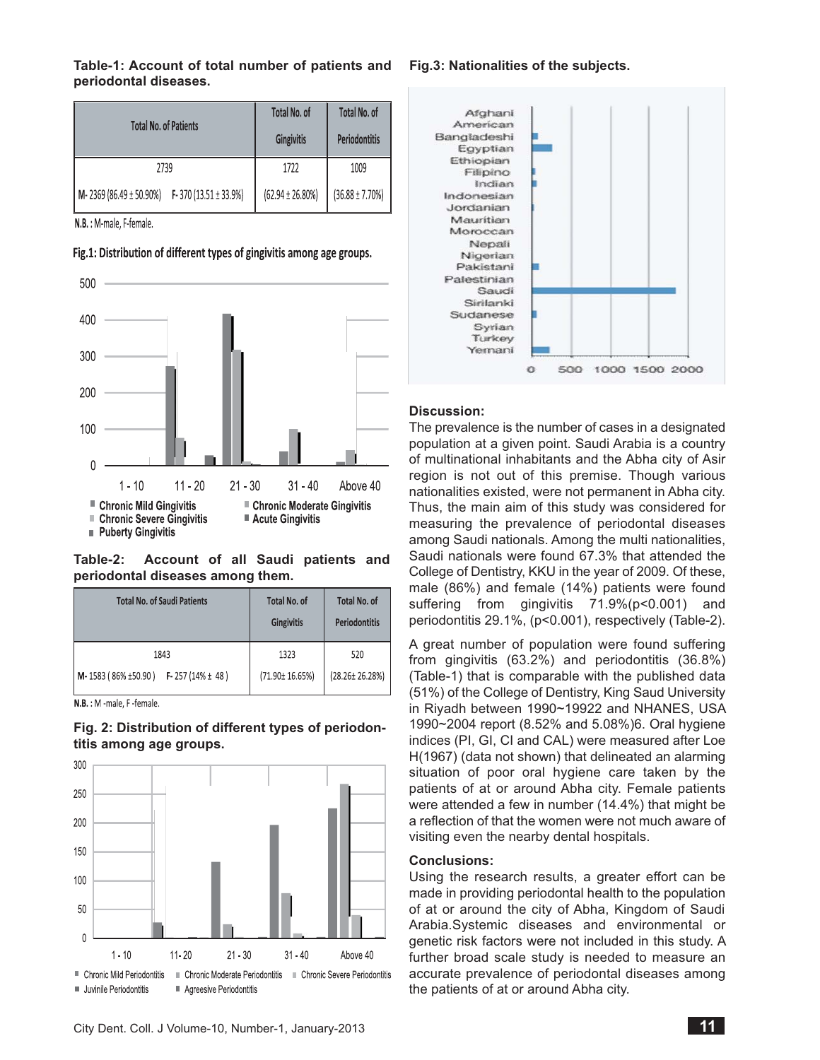## **Table-1: Account of total number of patients and periodontal diseases.**

| <b>Total No. of Patients</b>                  | Total No. of<br><b>Gingivitis</b> | Total No. of<br><b>Periodontitis</b> |
|-----------------------------------------------|-----------------------------------|--------------------------------------|
| 2739                                          | 1722                              | 1009                                 |
| M-2369 (86.49 ± 50.90%) F-370 (13.51 ± 33.9%) | $(62.94 \pm 26.80\%)$             | $(36.88 \pm 7.70\%)$                 |

N.B.: M-male, F-female.



# Fig.1: Distribution of different types of gingivitis among age groups.

# **Table-2: Account of all Saudi patients and periodontal diseases among them.**

| <b>Total No. of Saudi Patients</b>   | <b>Total No. of</b><br><b>Gingivitis</b> | <b>Total No. of</b><br>Periodontitis |
|--------------------------------------|------------------------------------------|--------------------------------------|
| 1843                                 | 1323                                     | 520                                  |
| M-1583 (86% ±50.90) F-257 (14% ± 48) | (71.90± 16.65%)                          | $(28.26 \pm 26.28\%)$                |

N.B.: M -male, F -female.

# **Fig. 2: Distribution of different types of periodontitis among age groups.**



## **Fig.3: Nationalities of the subjects.**



# **Discussion:**

The prevalence is the number of cases in a designated population at a given point. Saudi Arabia is a country of multinational inhabitants and the Abha city of Asir region is not out of this premise. Though various nationalities existed, were not permanent in Abha city. Thus, the main aim of this study was considered for measuring the prevalence of periodontal diseases among Saudi nationals. Among the multi nationalities, Saudi nationals were found 67.3% that attended the College of Dentistry, KKU in the year of 2009. Of these, male (86%) and female (14%) patients were found suffering from gingivitis 71.9%(p<0.001) and periodontitis 29.1%, (p<0.001), respectively (Table-2).

A great number of population were found suffering from gingivitis (63.2%) and periodontitis (36.8%) (Table-1) that is comparable with the published data (51%) of the College of Dentistry, King Saud University in Riyadh between 1990~19922 and NHANES, USA 1990~2004 report (8.52% and 5.08%)6. Oral hygiene indices (PI, GI, CI and CAL) were measured after Loe H(1967) (data not shown) that delineated an alarming situation of poor oral hygiene care taken by the patients of at or around Abha city. Female patients were attended a few in number (14.4%) that might be a reflection of that the women were not much aware of visiting even the nearby dental hospitals.

# **Conclusions:**

Using the research results, a greater effort can be made in providing periodontal health to the population of at or around the city of Abha, Kingdom of Saudi Arabia.Systemic diseases and environmental or genetic risk factors were not included in this study. A further broad scale study is needed to measure an accurate prevalence of periodontal diseases among the patients of at or around Abha city.